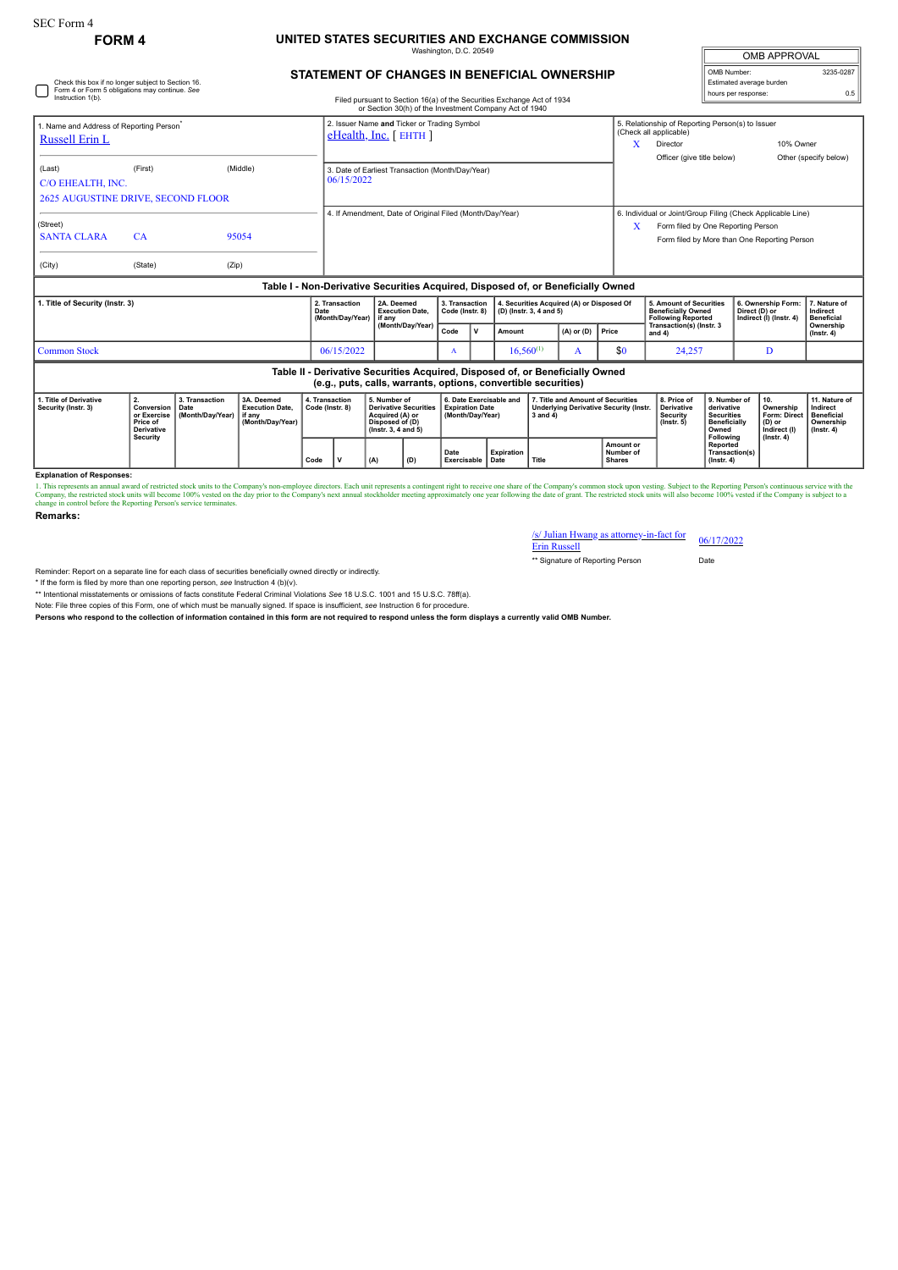Check this box if no longer subject to Section 16. Form 4 or Form 5 obligations may continue. *See*

## **FORM 4 UNITED STATES SECURITIES AND EXCHANGE COMMISSION**

Washington, D.C. 20549

| <b>OMB APPROVAL</b>      |           |  |  |  |  |  |  |
|--------------------------|-----------|--|--|--|--|--|--|
| OMB Number:              | 3235-0287 |  |  |  |  |  |  |
| Estimated average burden |           |  |  |  |  |  |  |
| hours per response:      | 0.5       |  |  |  |  |  |  |

|  | STATEMENT OF CHANGES IN BENEFICIAL OWNERSHIP |  |
|--|----------------------------------------------|--|
|  |                                              |  |

| Instruction 1(b).                                                                                                                               |                                                                              |                                                                    |                                            |                                    |                                                                          |                                                                                                              |                                   |                                                                       |                         | Filed pursuant to Section 16(a) of the Securities Exchange Act of 1934<br>or Section 30(h) of the Investment Company Act of 1940 |  |                                                                                   |                                                                                                                                                   |                                                                                                     |     | <b>NUMBER IN TRANSPORTED</b>                                                   |                                                                                 |                               |  |
|-------------------------------------------------------------------------------------------------------------------------------------------------|------------------------------------------------------------------------------|--------------------------------------------------------------------|--------------------------------------------|------------------------------------|--------------------------------------------------------------------------|--------------------------------------------------------------------------------------------------------------|-----------------------------------|-----------------------------------------------------------------------|-------------------------|----------------------------------------------------------------------------------------------------------------------------------|--|-----------------------------------------------------------------------------------|---------------------------------------------------------------------------------------------------------------------------------------------------|-----------------------------------------------------------------------------------------------------|-----|--------------------------------------------------------------------------------|---------------------------------------------------------------------------------|-------------------------------|--|
| 1. Name and Address of Reporting Person <sup>®</sup><br>Russell Erin L                                                                          |                                                                              |                                                                    |                                            |                                    | 2. Issuer Name and Ticker or Trading Symbol<br>$e$ Health, Inc. [ EHTH ] |                                                                                                              |                                   |                                                                       |                         |                                                                                                                                  |  |                                                                                   | x                                                                                                                                                 | 5. Relationship of Reporting Person(s) to Issuer<br>(Check all applicable)<br>10% Owner<br>Director |     |                                                                                |                                                                                 |                               |  |
| (Last)<br>C/O EHEALTH, INC.<br><b>2625 AUGUSTINE DRIVE, SECOND FLOOR</b>                                                                        | (First)                                                                      |                                                                    | (Middle)                                   |                                    | 3. Date of Earliest Transaction (Month/Day/Year)<br>06/15/2022           |                                                                                                              |                                   |                                                                       |                         |                                                                                                                                  |  |                                                                                   | Officer (give title below)                                                                                                                        |                                                                                                     |     |                                                                                | Other (specify below)                                                           |                               |  |
| (Street)<br><b>SANTA CLARA</b><br>(City)                                                                                                        | CA<br>(State)                                                                | (Zip)                                                              | 95054                                      |                                    | 4. If Amendment, Date of Original Filed (Month/Day/Year)                 |                                                                                                              |                                   |                                                                       |                         |                                                                                                                                  |  | X                                                                                 | 6. Individual or Joint/Group Filing (Check Applicable Line)<br>Form filed by One Reporting Person<br>Form filed by More than One Reporting Person |                                                                                                     |     |                                                                                |                                                                                 |                               |  |
| Table I - Non-Derivative Securities Acquired, Disposed of, or Beneficially Owned                                                                |                                                                              |                                                                    |                                            |                                    |                                                                          |                                                                                                              |                                   |                                                                       |                         |                                                                                                                                  |  |                                                                                   |                                                                                                                                                   |                                                                                                     |     |                                                                                |                                                                                 |                               |  |
| 1. Title of Security (Instr. 3)                                                                                                                 |                                                                              |                                                                    | Date                                       | 2. Transaction<br>(Month/Day/Year) | 2A. Deemed<br><b>Execution Date,</b><br>if anv                           |                                                                                                              | 3. Transaction<br>Code (Instr. 8) |                                                                       | (D) (Instr. 3, 4 and 5) | 4. Securities Acquired (A) or Disposed Of                                                                                        |  | 5. Amount of Securities<br><b>Beneficially Owned</b><br><b>Following Reported</b> |                                                                                                                                                   | 6. Ownership Form:<br>Direct (D) or<br>Indirect (I) (Instr. 4)                                      |     | 7. Nature of<br>Indirect<br><b>Beneficial</b>                                  |                                                                                 |                               |  |
|                                                                                                                                                 |                                                                              |                                                                    |                                            |                                    |                                                                          |                                                                                                              | (Month/Dav/Year)                  | Code                                                                  | l v                     | Amount                                                                                                                           |  | $(A)$ or $(D)$                                                                    | Price                                                                                                                                             | Transaction(s) (Instr. 3<br>and $4)$                                                                |     |                                                                                |                                                                                 | Ownership<br>$($ lnstr. 4 $)$ |  |
| <b>Common Stock</b>                                                                                                                             |                                                                              |                                                                    |                                            |                                    | 06/15/2022                                                               |                                                                                                              |                                   | A                                                                     |                         | $16.560^{(1)}$                                                                                                                   |  | A                                                                                 | \$0                                                                                                                                               | 24,257                                                                                              |     | D                                                                              |                                                                                 |                               |  |
| Table II - Derivative Securities Acquired, Disposed of, or Beneficially Owned<br>(e.g., puts, calls, warrants, options, convertible securities) |                                                                              |                                                                    |                                            |                                    |                                                                          |                                                                                                              |                                   |                                                                       |                         |                                                                                                                                  |  |                                                                                   |                                                                                                                                                   |                                                                                                     |     |                                                                                |                                                                                 |                               |  |
| 1. Title of Derivative<br>Security (Instr. 3)                                                                                                   | 2.<br>Conversion<br>or Exercise<br>Price of<br><b>Derivative</b><br>Security | 3. Transaction<br>3A. Deemed<br>Date<br>(Month/Day/Year)<br>if anv | <b>Execution Date.</b><br>(Month/Day/Year) | 4. Transaction<br>Code (Instr. 8)  |                                                                          | 5. Number of<br><b>Derivative Securities</b><br>Acquired (A) or<br>Disposed of (D)<br>$($ lnstr. 3, 4 and 5) |                                   | 6. Date Exercisable and<br><b>Expiration Date</b><br>(Month/Day/Year) |                         | 7. Title and Amount of Securities<br><b>Underlying Derivative Security (Instr.</b><br>$3$ and $4)$<br>Title                      |  |                                                                                   | 8. Price of<br><b>Derivative</b><br>Security<br>$($ lnstr. 5 $)$                                                                                  | 9. Number of<br>derivative<br><b>Securities</b><br><b>Beneficially</b><br>Owned<br>Following        | 10. | Ownership<br><b>Form: Direct</b><br>(D) or<br>Indirect (I)<br>$($ Instr. 4 $)$ | 11. Nature of<br>Indirect<br><b>Beneficial</b><br>Ownership<br>$($ Instr. 4 $)$ |                               |  |
|                                                                                                                                                 |                                                                              |                                                                    | Code                                       | v                                  | (A)                                                                      | (D)                                                                                                          |                                   | <b>Expiration</b><br>Date<br>Exercisable<br>Date                      |                         |                                                                                                                                  |  | Amount or<br>Number of<br><b>Shares</b>                                           |                                                                                                                                                   | Reported<br>Transaction(s)<br>$($ lnstr $, 4)$                                                      |     |                                                                                |                                                                                 |                               |  |

**Explanation of Responses:**

1. This represents an annual award of restricted stock units to the Company's non-employee directors. Each unit represents a contingent right to receive one share of the Company's common stock upon vesting. Subject to the

**Remarks:**

## /s/ Julian Hwang as attorney-in-fact for 06/17/2022<br>Erin Russell

\*\* Signature of Reporting Person Date

Reminder: Report on a separate line for each class of securities beneficially owned directly or indirectly.

\* If the form is filed by more than one reporting person, *see* Instruction 4 (b)(v).

\*\* Intentional misstatements or omissions of facts constitute Federal Criminal Violations *See* 18 U.S.C. 1001 and 15 U.S.C. 78ff(a). Note: File three copies of this Form, one of which must be manually signed. If space is insufficient, *see* Instruction 6 for procedure.

**Persons who respond to the collection of information contained in this form are not required to respond unless the form displays a currently valid OMB Number.**